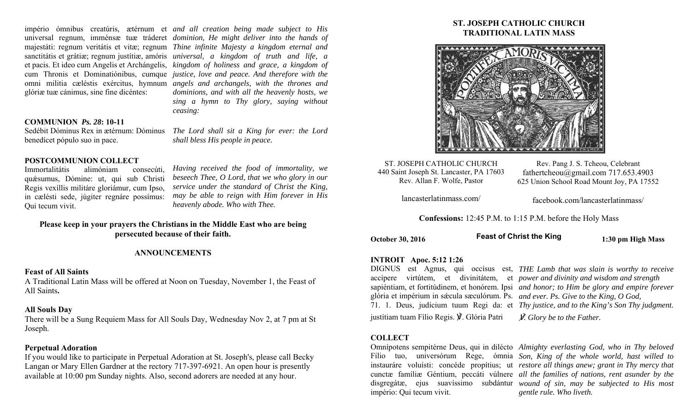glóriæ tuæ cánimus, sine fine dicéntes:

império ómnibus creatúris, ætérnum et *and all creation being made subject to His*  universal regnum, imménsæ tuæ tráderet *dominion, He might deliver into the hands of*  majestáti: regnum veritátis et vitæ; regnum *Thine infinite Majesty a kingdom eternal and*  sanctitátis et grátiæ; regnum justítiæ, amóris *universal, a kingdom of truth and life, a*  et pacis. Et ideo cum Angelis et Archángelis, *kingdom of holiness and grace, a kingdom of*  cum Thronis et Dominatiónibus, cumque *justice, love and peace. And therefore with the*  omni militia cæléstis exércitus, hymnum *angels and archangels, with the thrones and dominions, and with all the heavenly hosts, we sing a hymn to Thy glory, saying without ceasing:* 

#### **COMMUNION** *Ps. 28***: 10-11**

Sedébit Dóminus Rex in ætérnum: Dóminus *The Lord shall sit a King for ever: the Lord*  benedícet pópulo suo in pace.

## **POSTCOMMUNION COLLECT**

Immortalitátis alimóniam consecúti, quǽsumus, Dómine: ut, qui sub Christi Regis vexíllis militáre gloriámur, cum Ipso, in cælésti sede, júgiter regnáre possímus: Qui tecum vivit.

*Having received the food of immortality, we beseech Thee, O Lord, that we who glory in our service under the standard of Christ the King, may be able to reign with Him forever in His heavenly abode. Who with Thee.* 

*shall bless His people in peace.* 

# **Please keep in your prayers the Christians in the Middle East who are being persecuted because of their faith.**

#### **ANNOUNCEMENTS**

#### **Feast of All Saints**

A Traditional Latin Mass will be offered at Noon on Tuesday, November 1, the Feast of All Saints**.** 

#### **All Souls Day**

There will be a Sung Requiem Mass for All Souls Day, Wednesday Nov 2, at 7 pm at St Joseph.

## **Perpetual Adoration**

If you would like to participate in Perpetual Adoration at St. Joseph's, please call Becky Langan or Mary Ellen Gardner at the rectory 717-397-6921. An open hour is presently available at 10:00 pm Sunday nights. Also, second adorers are needed at any hour.

# **ST. JOSEPH CATHOLIC CHURCH TRADITIONAL LATIN MASS**



ST. JOSEPH CATHOLIC CHURCH 440 Saint Joseph St. Lancaster, PA 17603 Rev. Allan F. Wolfe, Pastor

Rev. Pang J. S. Tcheou, Celebrant fathertcheou@gmail.com 717.653.4903 625 Union School Road Mount Joy, PA 17552

lancasterlatinmass.com/

facebook.com/lancasterlatinmass/

**Confessions:** 12:45 P.M. to 1:15 P.M. before the Holy Mass

October 30, 2016 **1:30 pm High Mass** 1:30 pm High Mass **Feast of Christ the King**

## **INTROIT Apoc. 5:12 1:26**

glória et impérium in sǽcula sæculórum. Ps. *and ever. Ps. Give to the King, O God,* 

justítiam tuam Fílio Regis. ℣. Glória Patri

## **COLLECT**

império: Qui tecum vivit.

DIGNUS est Agnus, qui occísus est, *THE Lamb that was slain is worthy to receive*  accípere virtútem, et divinitátem, et *power and divinity and wisdom and strength*  sapiéntiam, et fortitúdinem, et honórem. Ipsi *and honor; to Him be glory and empire forever*  71. 1. Deus, judícium tuum Regi da: et *Thy justice, and to the King's Son Thy judgment.* 

℣*. Glory be to the Father.* 

Omnípotens sempitérne Deus, qui in dilécto *Almighty everlasting God, who in Thy beloved*  Fílio tuo, universórum Rege, ómnia *Son, King of the whole world, hast willed to*  instauráre voluísti: concéde propítius; ut *restore all things anew; grant in Thy mercy that*  cunctæ famíliæ Géntium, peccáti vúlnere *all the families of nations, rent asunder by the*  disgregátæ, ejus suavíssimo subdántur *wound of sin, may be subjected to His most gentle rule. Who liveth.*